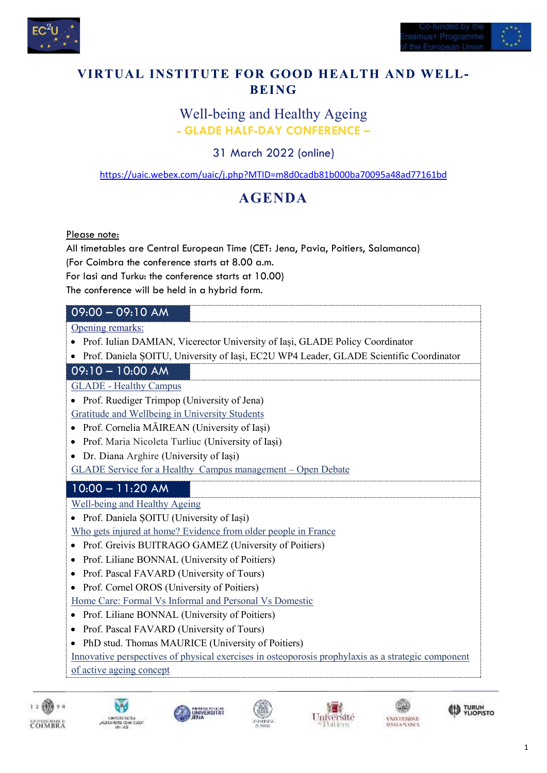



# VIRTUAL INSTITUTE FOR GOOD HEALTH AND WELL-**BEING**

# Well-being and Healthy Ageing **- GLADE HALF-DAY CONFERENCE –**

31 March 2022 (online)

<https://uaic.webex.com/uaic/j.php?MTID=m8d0cadb81b000ba70095a48ad77161bd>

# **AGENDA**

### Please note:

All timetables are Central European Time (CET: Jena, Pavia, Poitiers, Salamanca) (For Coimbra the conference starts at 8.00 a.m. For Iasi and Turku: the conference starts at 10.00) The conference will be held in a hybrid form.

## 09:00 – 09:10 AM

#### Opening remarks:

- Prof. Iulian DAMIAN, Vicerector University of Iași, GLADE Policy Coordinator
- Prof. Daniela ȘOITU, University of Iași, EC2U WP4 Leader, GLADE Scientific Coordinator

## 09:10 – 10:00 AM

### GLADE - Healthy Campus

- Prof. Ruediger Trimpop (University of Jena) Gratitude and Wellbeing in University Students
- Prof. Cornelia MĂIREAN (University of Iași)
- Prof. Maria Nicoleta Turliuc (University of Iași)
- Dr. Diana Arghire (University of Iași)

GLADE Service for a Healthy Campus management – Open Debate

# 10:00 – 11:20 AM

Well-being and Healthy Ageing

- Prof. Daniela ȘOITU (University of Iași)
- Who gets injured at home? Evidence from older people in France
- Prof. Greivis BUITRAGO GAMEZ (University of Poitiers)
- Prof. Liliane BONNAL (University of Poitiers)
- Prof. Pascal FAVARD (University of Tours)
- Prof. Cornel OROS (University of Poitiers)

Home Care: Formal Vs Informal and Personal Vs Domestic

- Prof. Liliane BONNAL (University of Poitiers)
- Prof. Pascal FAVARD (University of Tours)
- PhD stud. Thomas MAURICE (University of Poitiers)

Innovative perspectives of physical exercises in osteoporosis prophylaxis as a strategic component of active ageing concept